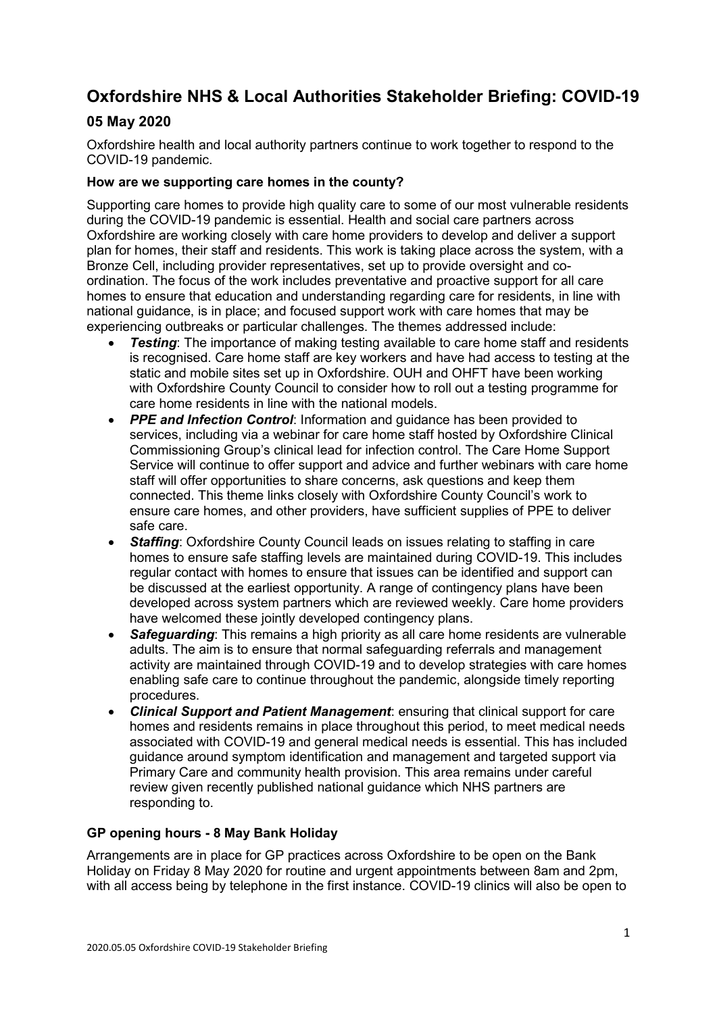# **Oxfordshire NHS & Local Authorities Stakeholder Briefing: COVID-19**

# **05 May 2020**

Oxfordshire health and local authority partners continue to work together to respond to the COVID-19 pandemic.

## **How are we supporting care homes in the county?**

Supporting care homes to provide high quality care to some of our most vulnerable residents during the COVID-19 pandemic is essential. Health and social care partners across Oxfordshire are working closely with care home providers to develop and deliver a support plan for homes, their staff and residents. This work is taking place across the system, with a Bronze Cell, including provider representatives, set up to provide oversight and coordination. The focus of the work includes preventative and proactive support for all care homes to ensure that education and understanding regarding care for residents, in line with national guidance, is in place; and focused support work with care homes that may be experiencing outbreaks or particular challenges. The themes addressed include:

- *Testing*: The importance of making testing available to care home staff and residents is recognised. Care home staff are key workers and have had access to testing at the static and mobile sites set up in Oxfordshire. OUH and OHFT have been working with Oxfordshire County Council to consider how to roll out a testing programme for care home residents in line with the national models.
- *PPE and Infection Control*: Information and guidance has been provided to services, including via a webinar for care home staff hosted by Oxfordshire Clinical Commissioning Group's clinical lead for infection control. The Care Home Support Service will continue to offer support and advice and further webinars with care home staff will offer opportunities to share concerns, ask questions and keep them connected. This theme links closely with Oxfordshire County Council's work to ensure care homes, and other providers, have sufficient supplies of PPE to deliver safe care.
- *Staffing*: Oxfordshire County Council leads on issues relating to staffing in care homes to ensure safe staffing levels are maintained during COVID-19. This includes regular contact with homes to ensure that issues can be identified and support can be discussed at the earliest opportunity. A range of contingency plans have been developed across system partners which are reviewed weekly. Care home providers have welcomed these jointly developed contingency plans.
- *Safeguarding*: This remains a high priority as all care home residents are vulnerable adults. The aim is to ensure that normal safeguarding referrals and management activity are maintained through COVID-19 and to develop strategies with care homes enabling safe care to continue throughout the pandemic, alongside timely reporting procedures.
- *Clinical Support and Patient Management*: ensuring that clinical support for care homes and residents remains in place throughout this period, to meet medical needs associated with COVID-19 and general medical needs is essential. This has included guidance around symptom identification and management and targeted support via Primary Care and community health provision. This area remains under careful review given recently published national guidance which NHS partners are responding to.

#### **GP opening hours - 8 May Bank Holiday**

Arrangements are in place for GP practices across Oxfordshire to be open on the Bank Holiday on Friday 8 May 2020 for routine and urgent appointments between 8am and 2pm, with all access being by telephone in the first instance. COVID-19 clinics will also be open to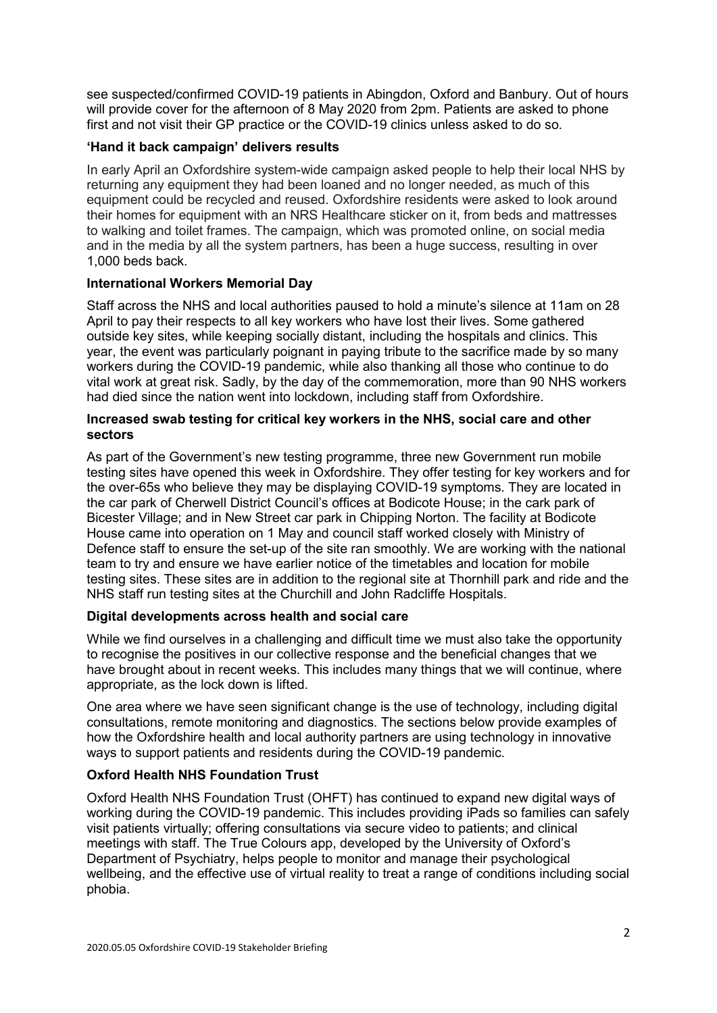see suspected/confirmed COVID-19 patients in Abingdon, Oxford and Banbury. Out of hours will provide cover for the afternoon of 8 May 2020 from 2pm. Patients are asked to phone first and not visit their GP practice or the COVID-19 clinics unless asked to do so.

## **'Hand it back campaign' delivers results**

In early April an Oxfordshire system-wide campaign asked people to help their local NHS by returning any equipment they had been loaned and no longer needed, as much of this equipment could be recycled and reused. Oxfordshire residents were asked to look around their homes for equipment with an NRS Healthcare sticker on it, from beds and mattresses to walking and toilet frames. The campaign, which was promoted online, on social media and in the media by all the system partners, has been a huge success, resulting in over 1,000 beds back.

# **International Workers Memorial Day**

Staff across the NHS and local authorities paused to hold a minute's silence at 11am on 28 April to pay their respects to all key workers who have lost their lives. Some gathered outside key sites, while keeping socially distant, including the hospitals and clinics. This year, the event was particularly poignant in paying tribute to the sacrifice made by so many workers during the COVID-19 pandemic, while also thanking all those who continue to do vital work at great risk. Sadly, by the day of the commemoration, more than 90 NHS workers had died since the nation went into lockdown, including staff from Oxfordshire.

#### **Increased swab testing for critical key workers in the NHS, social care and other sectors**

As part of the Government's new testing programme, three new Government run mobile testing sites have opened this week in Oxfordshire. They offer testing for key workers and for the over-65s who believe they may be displaying COVID-19 symptoms. They are located in the car park of Cherwell District Council's offices at Bodicote House; in the cark park of Bicester Village; and in New Street car park in Chipping Norton. The facility at Bodicote House came into operation on 1 May and council staff worked closely with Ministry of Defence staff to ensure the set-up of the site ran smoothly. We are working with the national team to try and ensure we have earlier notice of the timetables and location for mobile testing sites. These sites are in addition to the regional site at Thornhill park and ride and the NHS staff run testing sites at the Churchill and John Radcliffe Hospitals.

# **Digital developments across health and social care**

While we find ourselves in a challenging and difficult time we must also take the opportunity to recognise the positives in our collective response and the beneficial changes that we have brought about in recent weeks. This includes many things that we will continue, where appropriate, as the lock down is lifted.

One area where we have seen significant change is the use of technology, including digital consultations, remote monitoring and diagnostics. The sections below provide examples of how the Oxfordshire health and local authority partners are using technology in innovative ways to support patients and residents during the COVID-19 pandemic.

# **Oxford Health NHS Foundation Trust**

Oxford Health NHS Foundation Trust (OHFT) has continued to expand new digital ways of working during the COVID-19 pandemic. This includes providing iPads so families can safely visit patients virtually; offering consultations via secure video to patients; and clinical meetings with staff. The True Colours app, developed by the University of Oxford's Department of Psychiatry, helps people to monitor and manage their psychological wellbeing, and the effective use of virtual reality to treat a range of conditions including social phobia.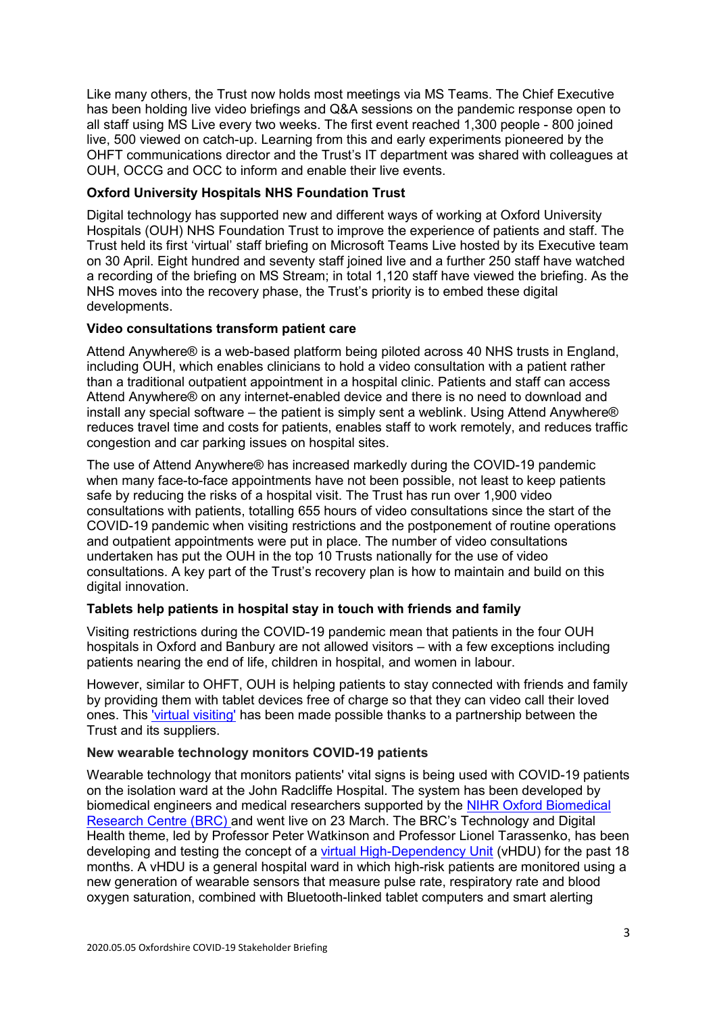Like many others, the Trust now holds most meetings via MS Teams. The Chief Executive has been holding live video briefings and Q&A sessions on the pandemic response open to all staff using MS Live every two weeks. The first event reached 1,300 people - 800 joined live, 500 viewed on catch-up. Learning from this and early experiments pioneered by the OHFT communications director and the Trust's IT department was shared with colleagues at OUH, OCCG and OCC to inform and enable their live events.

## **Oxford University Hospitals NHS Foundation Trust**

Digital technology has supported new and different ways of working at Oxford University Hospitals (OUH) NHS Foundation Trust to improve the experience of patients and staff. The Trust held its first 'virtual' staff briefing on Microsoft Teams Live hosted by its Executive team on 30 April. Eight hundred and seventy staff joined live and a further 250 staff have watched a recording of the briefing on MS Stream; in total 1,120 staff have viewed the briefing. As the NHS moves into the recovery phase, the Trust's priority is to embed these digital developments.

#### **Video consultations transform patient care**

Attend Anywhere® is a web-based platform being piloted across 40 NHS trusts in England, including OUH, which enables clinicians to hold a video consultation with a patient rather than a traditional outpatient appointment in a hospital clinic. Patients and staff can access Attend Anywhere® on any internet-enabled device and there is no need to download and install any special software – the patient is simply sent a weblink. Using Attend Anywhere® reduces travel time and costs for patients, enables staff to work remotely, and reduces traffic congestion and car parking issues on hospital sites.

The use of Attend Anywhere® has increased markedly during the COVID-19 pandemic when many face-to-face appointments have not been possible, not least to keep patients safe by reducing the risks of a hospital visit. The Trust has run over 1,900 video consultations with patients, totalling 655 hours of video consultations since the start of the COVID-19 pandemic when visiting restrictions and the postponement of routine operations and outpatient appointments were put in place. The number of video consultations undertaken has put the OUH in the top 10 Trusts nationally for the use of video consultations. A key part of the Trust's recovery plan is how to maintain and build on this digital innovation.

## **Tablets help patients in hospital stay in touch with friends and family**

Visiting restrictions during the COVID-19 pandemic mean that patients in the four OUH hospitals in Oxford and Banbury are not allowed visitors – with a few exceptions including patients nearing the end of life, children in hospital, and women in labour.

However, similar to OHFT, OUH is helping patients to stay connected with friends and family by providing them with tablet devices free of charge so that they can video call their loved ones. This ['virtual visiting'](https://www.ouh.nhs.uk/news/article.aspx?id=1228) has been made possible thanks to a partnership between the Trust and its suppliers.

#### **New wearable technology monitors COVID-19 patients**

Wearable technology that monitors patients' vital signs is being used with COVID-19 patients on the isolation ward at the John Radcliffe Hospital. The system has been developed by biomedical engineers and medical researchers supported by the [NIHR Oxford Biomedical](https://oxfordbrc.nihr.ac.uk/)  [Research Centre \(BRC\)](https://oxfordbrc.nihr.ac.uk/) and went live on 23 March. The BRC's Technology and Digital Health theme, led by Professor Peter Watkinson and Professor Lionel Tarassenko, has been developing and testing the concept of a [virtual High-Dependency Unit](https://oxfordbrc.nihr.ac.uk/new-wearable-technology-used-to-monitor-covid-19-patients/) (vHDU) for the past 18 months. A vHDU is a general hospital ward in which high-risk patients are monitored using a new generation of wearable sensors that measure pulse rate, respiratory rate and blood oxygen saturation, combined with Bluetooth-linked tablet computers and smart alerting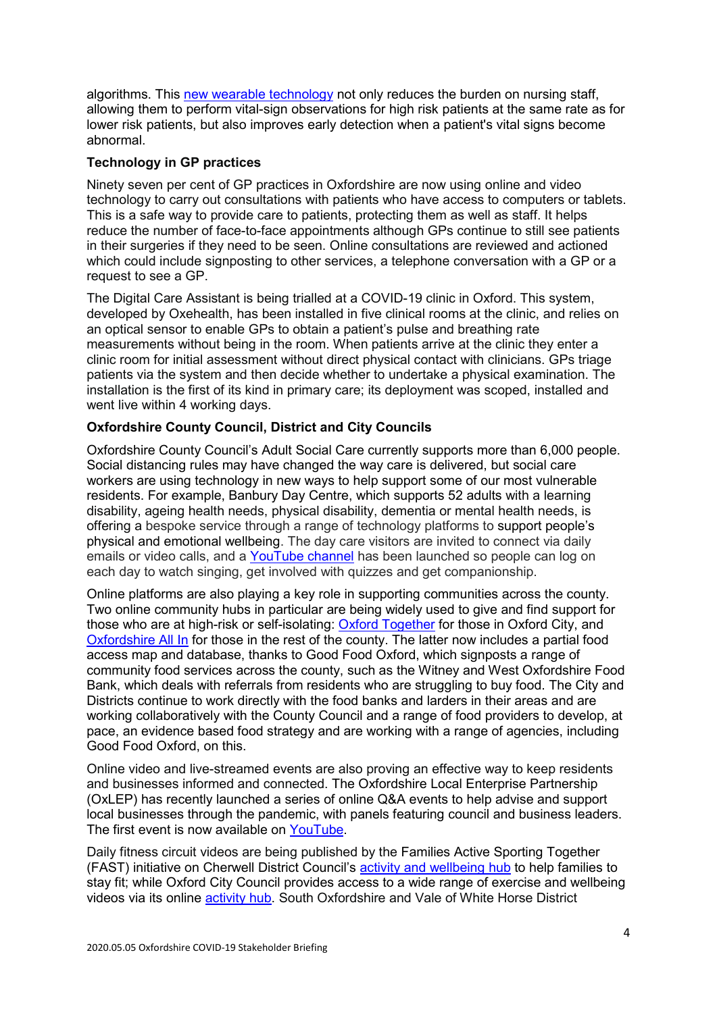algorithms. This [new wearable technology](https://www.ouh.nhs.uk/news/article.aspx?id=1215) not only reduces the burden on nursing staff, allowing them to perform vital-sign observations for high risk patients at the same rate as for lower risk patients, but also improves early detection when a patient's vital signs become abnormal.

## **Technology in GP practices**

Ninety seven per cent of GP practices in Oxfordshire are now using online and video technology to carry out consultations with patients who have access to computers or tablets. This is a safe way to provide care to patients, protecting them as well as staff. It helps reduce the number of face-to-face appointments although GPs continue to still see patients in their surgeries if they need to be seen. Online consultations are reviewed and actioned which could include signposting to other services, a telephone conversation with a GP or a request to see a GP.

The Digital Care Assistant is being trialled at a COVID-19 clinic in Oxford. This system, developed by Oxehealth, has been installed in five clinical rooms at the clinic, and relies on an optical sensor to enable GPs to obtain a patient's pulse and breathing rate measurements without being in the room. When patients arrive at the clinic they enter a clinic room for initial assessment without direct physical contact with clinicians. GPs triage patients via the system and then decide whether to undertake a physical examination. The installation is the first of its kind in primary care; its deployment was scoped, installed and went live within 4 working days.

# **Oxfordshire County Council, District and City Councils**

Oxfordshire County Council's Adult Social Care currently supports more than 6,000 people. Social distancing rules may have changed the way care is delivered, but social care workers are using technology in new ways to help support some of our most vulnerable residents. For example, Banbury Day Centre, which supports 52 adults with a learning disability, ageing health needs, physical disability, dementia or mental health needs, is offering a bespoke service through a range of technology platforms to support people's physical and emotional wellbeing. The day care visitors are invited to connect via daily emails or video calls, and a [YouTube channel](http://www.youtube.com/watch?v=wxeLvwBN5dE) has been launched so people can log on each day to watch singing, get involved with quizzes and get companionship.

Online platforms are also playing a key role in supporting communities across the county. Two online community hubs in particular are being widely used to give and find support for those who are at high-risk or self-isolating: [Oxford Together](https://oxfordtogether.org/) for those in Oxford City, and [Oxfordshire All In](https://www.oxfordshireallin.org/) for those in the rest of the county. The latter now includes a partial food access map and database, thanks to Good Food Oxford, which signposts a range of community food services across the county, such as the Witney and West Oxfordshire Food Bank, which deals with referrals from residents who are struggling to buy food. The City and Districts continue to work directly with the food banks and larders in their areas and are working collaboratively with the County Council and a range of food providers to develop, at pace, an evidence based food strategy and are working with a range of agencies, including Good Food Oxford, on this.

Online video and live-streamed events are also proving an effective way to keep residents and businesses informed and connected. The Oxfordshire Local Enterprise Partnership (OxLEP) has recently launched a series of online Q&A events to help advise and support local businesses through the pandemic, with panels featuring council and business leaders. The first event is now available on [YouTube.](http://www.youtube.com/watch?v=YWsGQaGCUTI)

Daily fitness circuit videos are being published by the Families Active Sporting Together (FAST) initiative on Cherwell District Council's [activity and wellbeing hub](https://www.cherwell.gov.uk/activity-and-wellbeing-hub) to help families to stay fit; while Oxford City Council provides access to a wide range of exercise and wellbeing videos via its online [activity hub.](https://www.oxford.gov.uk/info/20302/activity_hub) South Oxfordshire and Vale of White Horse District